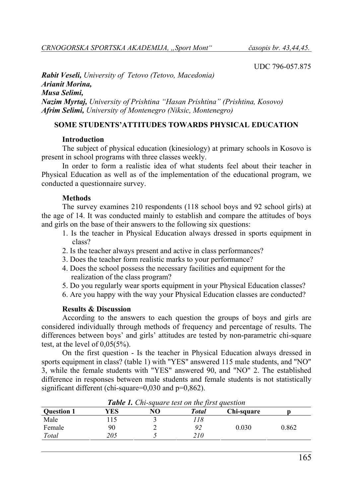UDC 796-057.875

*Rabit Veseli, University of Tetovo (Tetovo, Macedonia) Arianit Morina, Musa Selimi, Nazim Myrtaj, University of Prishtina "Hasan Prishtina" (Prishtina, Kosovo) Afrim Selimi, University of Montenegro (Niksic, Montenegro)* 

# **SOME STUDENTS'ATTITUDES TOWARDS PHYSICAL EDUCATION**

## **Introduction**

The subject of physical education (kinesiology) at primary schools in Kosovo is present in school programs with three classes weekly.

In order to form a realistic idea of what students feel about their teacher in Physical Education as well as of the implementation of the educational program, we conducted a questionnaire survey.

## **Methods**

The survey examines 210 respondents (118 school boys and 92 school girls) at the age of 14. It was conducted mainly to establish and compare the attitudes of boys and girls on the base of their answers to the following six questions:

- 1. Is the teacher in Physical Education always dressed in sports equipment in class?
- 2. Is the teacher always present and active in class performances?
- 3. Does the teacher form realistic marks to your performance?
- 4. Does the school possess the necessary facilities and equipment for the realization of the class program?
- 5. Do you regularly wear sports equipment in your Physical Education classes?
- 6. Are you happy with the way your Physical Education classes are conducted?

## **Results & Discussion**

According to the answers to each question the groups of boys and girls are considered individually through methods of frequency and percentage of results. The differences between boys' and girls' attitudes are tested by non-parametric chi-square test, at the level of 0,05(5%).

On the first question - Is the teacher in Physical Education always dressed in sports equipment in class? (table 1) with "YES" answered 115 male students, and "NO" 3, while the female students with "YES" answered 90, and "NO" 2. The established difference in responses between male students and female students is not statistically significant different (chi-square=0,030 and p=0,862).

| <b>Ouestion 1</b> | YES | NO | Total | Chi-square |       |
|-------------------|-----|----|-------|------------|-------|
| Male              | 15  |    | 18    |            |       |
| Female            | 90  |    | 92    | 0.030      | 0.862 |
| Total             | 205 |    | 210   |            |       |

*Table 1. Chi-square test on the first question*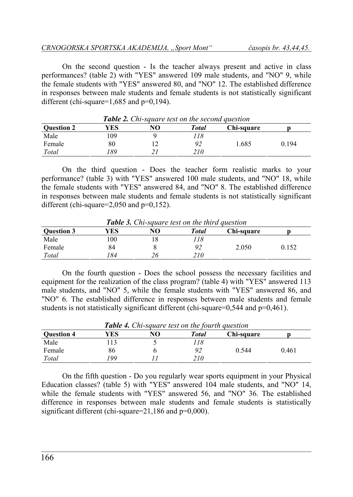On the second question - Is the teacher always present and active in class performances? (table 2) with "YES" answered 109 male students, and "NO" 9, while the female students with "YES" answered 80, and "NO" 12. The established difference in responses between male students and female students is not statistically significant different (chi-square= $1,685$  and  $p=0,194$ ).

| <b>Table 2.</b> Chi-square lest on the second question |     |    |       |            |       |  |
|--------------------------------------------------------|-----|----|-------|------------|-------|--|
| <b>Ouestion 2</b>                                      | YES | NO | Total | Chi-square |       |  |
| Male                                                   | .09 |    | '18   |            |       |  |
| Female                                                 | 80  |    | 92    | .685       | 0.194 |  |
| Total                                                  | -89 |    | 210   |            |       |  |

*Table 2. Chi-square test on the second question* 

On the third question - Does the teacher form realistic marks to your performance? (table 3) with "YES" answered 100 male students, and "NO" 18, while the female students with "YES" answered 84, and "NO" 8. The established difference in responses between male students and female students is not statistically significant different (chi-square=2,050 and p=0,152).

| <b>Tuble 5.</b> Chi-square lest on the third question |     |    |       |            |       |  |
|-------------------------------------------------------|-----|----|-------|------------|-------|--|
| <b>Ouestion 3</b>                                     | YES | NO | Total | Chi-square |       |  |
| Male                                                  | 00  |    | 78    |            |       |  |
| Female                                                | 84  |    | 92    | 2.050      | 0.152 |  |
| Total                                                 | 84  |    | 210   |            |       |  |

*Table 3. Chi-square test on the third question* 

On the fourth question - Does the school possess the necessary facilities and equipment for the realization of the class program? (table 4) with "YES" answered 113 male students, and "NO" 5, while the female students with "YES" answered 86, and "NO" 6. The established difference in responses between male students and female students is not statistically significant different (chi-square=0,544 and p=0,461).

| <b>Table 4.</b> Chi-square test on the fourth question |     |    |              |            |       |  |
|--------------------------------------------------------|-----|----|--------------|------------|-------|--|
| <b>Ouestion 4</b>                                      | YES | NO | <b>Total</b> | Chi-sauare |       |  |
| Male                                                   | 13  |    | 118          |            |       |  |
| Female                                                 | 86  |    | 92           | 0.544      | 0.461 |  |
| Total                                                  | '99 |    | 210          |            |       |  |

*Table 4. Chi-square test on the fourth question* 

On the fifth question - Do you regularly wear sports equipment in your Physical Education classes? (table 5) with "YES" answered 104 male students, and "NO" 14, while the female students with "YES" answered 56, and "NO" 36. The established difference in responses between male students and female students is statistically significant different (chi-square=21,186 and p=0,000).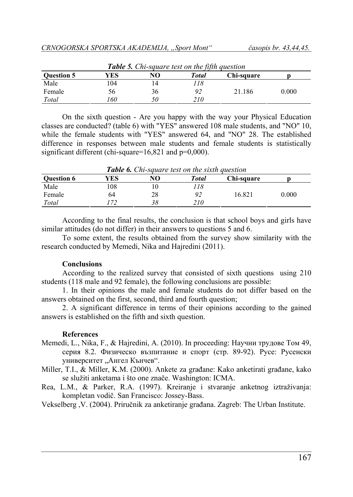| <b>Table 5.</b> Chi-square lest on the fifth question |     |    |       |            |       |  |
|-------------------------------------------------------|-----|----|-------|------------|-------|--|
| <b>Ouestion 5</b>                                     | YES | NO | Total | Chi-square |       |  |
| Male                                                  | 04  |    | 78    |            |       |  |
| Female                                                | 56  | 36 | 92    | 21.186     | 0.000 |  |
| Total                                                 | 60  | 50 | 210   |            |       |  |

*Table 5. Chi-square test on the fifth question* 

On the sixth question - Are you happy with the way your Physical Education classes are conducted? (table 6) with "YES" answered 108 male students, and "NO" 10, while the female students with "YES" answered 64, and "NO" 28. The established difference in responses between male students and female students is statistically significant different (chi-square=16,821 and p=0,000).

| <b>Table 6.</b> Chi-square test on the sixth question |     |    |       |            |       |  |
|-------------------------------------------------------|-----|----|-------|------------|-------|--|
| <b>Ouestion 6</b>                                     | YES | NO | Total | Chi-square |       |  |
| Male                                                  | 08  |    | '18   |            |       |  |
| Female                                                | 64  | 28 | 92    | 16.821     | 0.000 |  |
| Total                                                 |     | 38 | 210   |            |       |  |

According to the final results, the conclusion is that school boys and girls have similar attitudes (do not differ) in their answers to questions 5 and 6.

To some extent, the results obtained from the survey show similarity with the research conducted by Memedi, Nika and Hajredini (2011).

#### **Conclusions**

According to the realized survey that consisted of sixth questions using 210 students (118 male and 92 female), the following conclusions are possible:

1. In their opinions the male and female students do not differ based on the answers obtained on the first, second, third and fourth question;

2. A significant difference in terms of their opinions according to the gained answers is established on the fifth and sixth question.

### **References**

- Memedi, L., Nika, F., & Hajredini, A. (2010). In proceeding: Научни трудове Том 49, серия 8.2. Физическо възпитание и спорт (стр. 89-92). Русе: Русенски университет "Ангел Кънчев".
- Miller, T.I., & Miller, K.M. (2000). Ankete za građane: Kako anketirati građane, kako se služiti anketama i što one znače. Washington: ICMA.
- Rea, L.M., & Parker, R.A. (1997). Kreiranje i stvaranje anketnog iztraživanja: kompletan vodič. San Francisco: Jossey-Bass.

Vekselberg ,V. (2004). Priručnik za anketiranje građana. Zagreb: The Urban Institute.